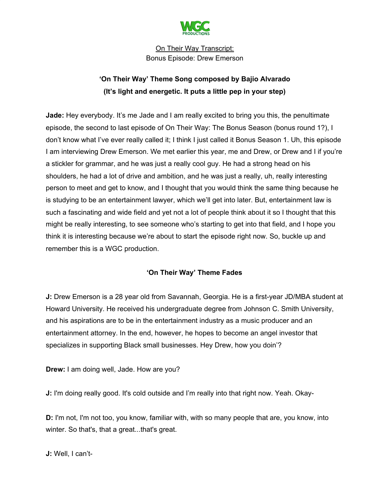

# **'On Their Way' Theme Song composed by Bajio Alvarado (It's light and energetic. It puts a little pep in your step)**

**Jade:** Hey everybody. It's me Jade and I am really excited to bring you this, the penultimate episode, the second to last episode of On Their Way: The Bonus Season (bonus round 1?), I don't know what I've ever really called it; I think I just called it Bonus Season 1. Uh, this episode I am interviewing Drew Emerson. We met earlier this year, me and Drew, or Drew and I if you're a stickler for grammar, and he was just a really cool guy. He had a strong head on his shoulders, he had a lot of drive and ambition, and he was just a really, uh, really interesting person to meet and get to know, and I thought that you would think the same thing because he is studying to be an entertainment lawyer, which we'll get into later. But, entertainment law is such a fascinating and wide field and yet not a lot of people think about it so I thought that this might be really interesting, to see someone who's starting to get into that field, and I hope you think it is interesting because we're about to start the episode right now. So, buckle up and remember this is a WGC production.

# **'On Their Way' Theme Fades**

**J:** Drew Emerson is a 28 year old from Savannah, Georgia. He is a first-year JD/MBA student at Howard University. He received his undergraduate degree from Johnson C. Smith University, and his aspirations are to be in the entertainment industry as a music producer and an entertainment attorney. In the end, however, he hopes to become an angel investor that specializes in supporting Black small businesses. Hey Drew, how you doin'?

**Drew:** I am doing well, Jade. How are you?

**J:** I'm doing really good. It's cold outside and I'm really into that right now. Yeah. Okay-

**D:** I'm not, I'm not too, you know, familiar with, with so many people that are, you know, into winter. So that's, that a great...that's great.

**J:** Well, I can't-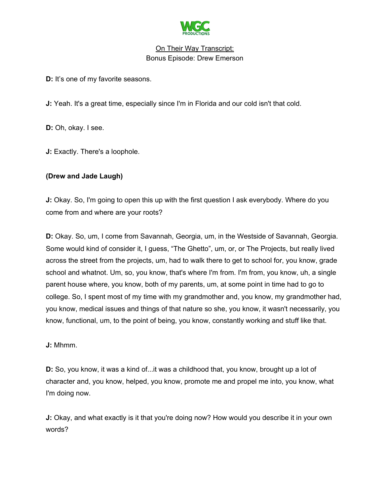

**D:** It's one of my favorite seasons.

**J:** Yeah. It's a great time, especially since I'm in Florida and our cold isn't that cold.

**D:** Oh, okay. I see.

**J:** Exactly. There's a loophole.

## **(Drew and Jade Laugh)**

**J:** Okay. So, I'm going to open this up with the first question I ask everybody. Where do you come from and where are your roots?

**D:** Okay. So, um, I come from Savannah, Georgia, um, in the Westside of Savannah, Georgia. Some would kind of consider it, I guess, "The Ghetto", um, or, or The Projects, but really lived across the street from the projects, um, had to walk there to get to school for, you know, grade school and whatnot. Um, so, you know, that's where I'm from. I'm from, you know, uh, a single parent house where, you know, both of my parents, um, at some point in time had to go to college. So, I spent most of my time with my grandmother and, you know, my grandmother had, you know, medical issues and things of that nature so she, you know, it wasn't necessarily, you know, functional, um, to the point of being, you know, constantly working and stuff like that.

**J:** Mhmm.

**D:** So, you know, it was a kind of...it was a childhood that, you know, brought up a lot of character and, you know, helped, you know, promote me and propel me into, you know, what I'm doing now.

**J:** Okay, and what exactly is it that you're doing now? How would you describe it in your own words?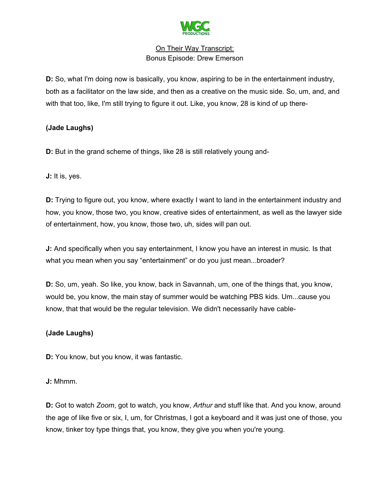

**D:** So, what I'm doing now is basically, you know, aspiring to be in the entertainment industry, both as a facilitator on the law side, and then as a creative on the music side. So, um, and, and with that too, like, I'm still trying to figure it out. Like, you know, 28 is kind of up there-

# **(Jade Laughs)**

**D:** But in the grand scheme of things, like 28 is still relatively young and-

**J:** It is, yes.

**D:** Trying to figure out, you know, where exactly I want to land in the entertainment industry and how, you know, those two, you know, creative sides of entertainment, as well as the lawyer side of entertainment, how, you know, those two, uh, sides will pan out.

**J:** And specifically when you say entertainment, I know you have an interest in music. Is that what you mean when you say "entertainment" or do you just mean...broader?

**D:** So, um, yeah. So like, you know, back in Savannah, um, one of the things that, you know, would be, you know, the main stay of summer would be watching PBS kids. Um...cause you know, that that would be the regular television. We didn't necessarily have cable-

# **(Jade Laughs)**

**D:** You know, but you know, it was fantastic.

**J:** Mhmm.

**D:** Got to watch *Zoom*, got to watch, you know, *Arthur* and stuff like that. And you know, around the age of like five or six, I, um, for Christmas, I got a keyboard and it was just one of those, you know, tinker toy type things that, you know, they give you when you're young.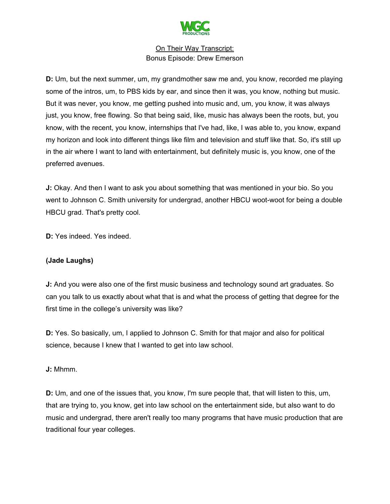

**D:** Um, but the next summer, um, my grandmother saw me and, you know, recorded me playing some of the intros, um, to PBS kids by ear, and since then it was, you know, nothing but music. But it was never, you know, me getting pushed into music and, um, you know, it was always just, you know, free flowing. So that being said, like, music has always been the roots, but, you know, with the recent, you know, internships that I've had, like, I was able to, you know, expand my horizon and look into different things like film and television and stuff like that. So, it's still up in the air where I want to land with entertainment, but definitely music is, you know, one of the preferred avenues.

**J:** Okay. And then I want to ask you about something that was mentioned in your bio. So you went to Johnson C. Smith university for undergrad, another HBCU woot-woot for being a double HBCU grad. That's pretty cool.

**D:** Yes indeed. Yes indeed.

# **(Jade Laughs)**

**J:** And you were also one of the first music business and technology sound art graduates. So can you talk to us exactly about what that is and what the process of getting that degree for the first time in the college's university was like?

**D:** Yes. So basically, um, I applied to Johnson C. Smith for that major and also for political science, because I knew that I wanted to get into law school.

#### **J:** Mhmm.

**D:** Um, and one of the issues that, you know, I'm sure people that, that will listen to this, um, that are trying to, you know, get into law school on the entertainment side, but also want to do music and undergrad, there aren't really too many programs that have music production that are traditional four year colleges.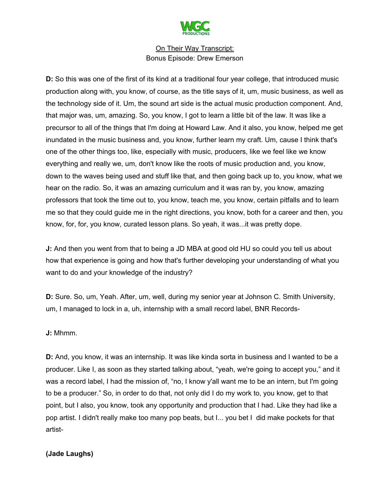

**D:** So this was one of the first of its kind at a traditional four year college, that introduced music production along with, you know, of course, as the title says of it, um, music business, as well as the technology side of it. Um, the sound art side is the actual music production component. And, that major was, um, amazing. So, you know, I got to learn a little bit of the law. It was like a precursor to all of the things that I'm doing at Howard Law. And it also, you know, helped me get inundated in the music business and, you know, further learn my craft. Um, cause I think that's one of the other things too, like, especially with music, producers, like we feel like we know everything and really we, um, don't know like the roots of music production and, you know, down to the waves being used and stuff like that, and then going back up to, you know, what we hear on the radio. So, it was an amazing curriculum and it was ran by, you know, amazing professors that took the time out to, you know, teach me, you know, certain pitfalls and to learn me so that they could guide me in the right directions, you know, both for a career and then, you know, for, for, you know, curated lesson plans. So yeah, it was...it was pretty dope.

**J:** And then you went from that to being a JD MBA at good old HU so could you tell us about how that experience is going and how that's further developing your understanding of what you want to do and your knowledge of the industry?

**D:** Sure. So, um, Yeah. After, um, well, during my senior year at Johnson C. Smith University, um, I managed to lock in a, uh, internship with a small record label, BNR Records-

**J:** Mhmm.

**D:** And, you know, it was an internship. It was like kinda sorta in business and I wanted to be a producer. Like I, as soon as they started talking about, "yeah, we're going to accept you," and it was a record label, I had the mission of, "no, I know y'all want me to be an intern, but I'm going to be a producer." So, in order to do that, not only did I do my work to, you know, get to that point, but I also, you know, took any opportunity and production that I had. Like they had like a pop artist. I didn't really make too many pop beats, but I... you bet I did make pockets for that artist-

# **(Jade Laughs)**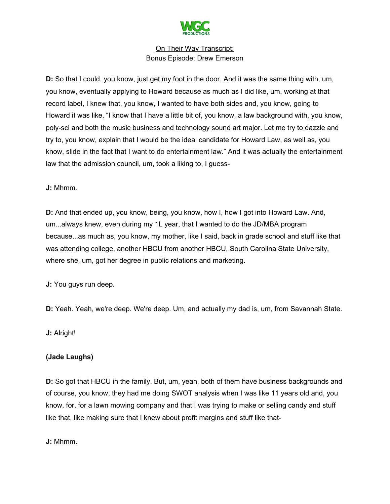

**D:** So that I could, you know, just get my foot in the door. And it was the same thing with, um, you know, eventually applying to Howard because as much as I did like, um, working at that record label, I knew that, you know, I wanted to have both sides and, you know, going to Howard it was like, "I know that I have a little bit of, you know, a law background with, you know, poly-sci and both the music business and technology sound art major. Let me try to dazzle and try to, you know, explain that I would be the ideal candidate for Howard Law, as well as, you know, slide in the fact that I want to do entertainment law." And it was actually the entertainment law that the admission council, um, took a liking to, I guess-

## **J:** Mhmm.

**D:** And that ended up, you know, being, you know, how I, how I got into Howard Law. And, um...always knew, even during my 1L year, that I wanted to do the JD/MBA program because...as much as, you know, my mother, like I said, back in grade school and stuff like that was attending college, another HBCU from another HBCU, South Carolina State University, where she, um, got her degree in public relations and marketing.

**J:** You guys run deep.

**D:** Yeah. Yeah, we're deep. We're deep. Um, and actually my dad is, um, from Savannah State.

**J:** Alright!

# **(Jade Laughs)**

**D:** So got that HBCU in the family. But, um, yeah, both of them have business backgrounds and of course, you know, they had me doing SWOT analysis when I was like 11 years old and, you know, for, for a lawn mowing company and that I was trying to make or selling candy and stuff like that, like making sure that I knew about profit margins and stuff like that-

**J:** Mhmm.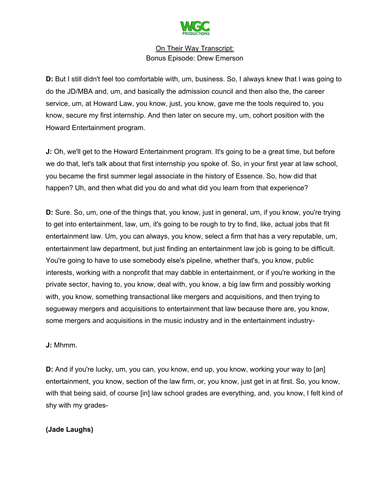

**D:** But I still didn't feel too comfortable with, um, business. So, I always knew that I was going to do the JD/MBA and, um, and basically the admission council and then also the, the career service, um, at Howard Law, you know, just, you know, gave me the tools required to, you know, secure my first internship. And then later on secure my, um, cohort position with the Howard Entertainment program.

**J:** Oh, we'll get to the Howard Entertainment program. It's going to be a great time, but before we do that, let's talk about that first internship you spoke of. So, in your first year at law school, you became the first summer legal associate in the history of Essence. So, how did that happen? Uh, and then what did you do and what did you learn from that experience?

**D:** Sure. So, um, one of the things that, you know, just in general, um, if you know, you're trying to get into entertainment, law, um, it's going to be rough to try to find, like, actual jobs that fit entertainment law. Um, you can always, you know, select a firm that has a very reputable, um, entertainment law department, but just finding an entertainment law job is going to be difficult. You're going to have to use somebody else's pipeline, whether that's, you know, public interests, working with a nonprofit that may dabble in entertainment, or if you're working in the private sector, having to, you know, deal with, you know, a big law firm and possibly working with, you know, something transactional like mergers and acquisitions, and then trying to segueway mergers and acquisitions to entertainment that law because there are, you know, some mergers and acquisitions in the music industry and in the entertainment industry-

**J:** Mhmm.

**D:** And if you're lucky, um, you can, you know, end up, you know, working your way to [an] entertainment, you know, section of the law firm, or, you know, just get in at first. So, you know, with that being said, of course [in] law school grades are everything, and, you know, I felt kind of shy with my grades-

**(Jade Laughs)**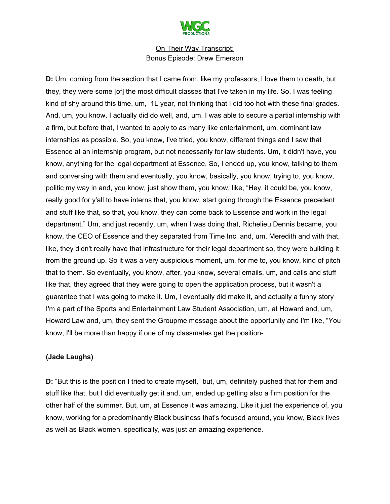

**D:** Um, coming from the section that I came from, like my professors, I love them to death, but they, they were some [of] the most difficult classes that I've taken in my life. So, I was feeling kind of shy around this time, um, 1L year, not thinking that I did too hot with these final grades. And, um, you know, I actually did do well, and, um, I was able to secure a partial internship with a firm, but before that, I wanted to apply to as many like entertainment, um, dominant law internships as possible. So, you know, I've tried, you know, different things and I saw that Essence at an internship program, but not necessarily for law students. Um, it didn't have, you know, anything for the legal department at Essence. So, I ended up, you know, talking to them and conversing with them and eventually, you know, basically, you know, trying to, you know, politic my way in and, you know, just show them, you know, like, "Hey, it could be, you know, really good for y'all to have interns that, you know, start going through the Essence precedent and stuff like that, so that, you know, they can come back to Essence and work in the legal department." Um, and just recently, um, when I was doing that, Richelieu Dennis became, you know, the CEO of Essence and they separated from Time Inc. and, um, Meredith and with that, like, they didn't really have that infrastructure for their legal department so, they were building it from the ground up. So it was a very auspicious moment, um, for me to, you know, kind of pitch that to them. So eventually, you know, after, you know, several emails, um, and calls and stuff like that, they agreed that they were going to open the application process, but it wasn't a guarantee that I was going to make it. Um, I eventually did make it, and actually a funny story I'm a part of the Sports and Entertainment Law Student Association, um, at Howard and, um, Howard Law and, um, they sent the Groupme message about the opportunity and I'm like, "You know, I'll be more than happy if one of my classmates get the position-

#### **(Jade Laughs)**

**D:** "But this is the position I tried to create myself," but, um, definitely pushed that for them and stuff like that, but I did eventually get it and, um, ended up getting also a firm position for the other half of the summer. But, um, at Essence it was amazing. Like it just the experience of, you know, working for a predominantly Black business that's focused around, you know, Black lives as well as Black women, specifically, was just an amazing experience.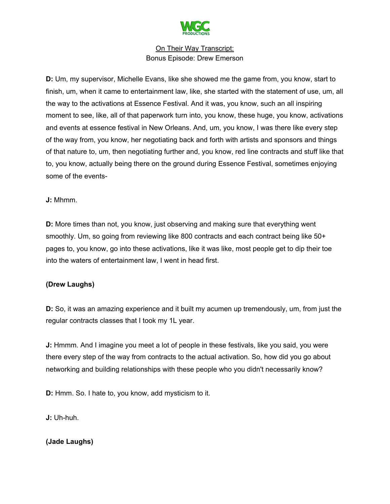

**D:** Um, my supervisor, Michelle Evans, like she showed me the game from, you know, start to finish, um, when it came to entertainment law, like, she started with the statement of use, um, all the way to the activations at Essence Festival. And it was, you know, such an all inspiring moment to see, like, all of that paperwork turn into, you know, these huge, you know, activations and events at essence festival in New Orleans. And, um, you know, I was there like every step of the way from, you know, her negotiating back and forth with artists and sponsors and things of that nature to, um, then negotiating further and, you know, red line contracts and stuff like that to, you know, actually being there on the ground during Essence Festival, sometimes enjoying some of the events-

## **J:** Mhmm.

**D:** More times than not, you know, just observing and making sure that everything went smoothly. Um, so going from reviewing like 800 contracts and each contract being like 50+ pages to, you know, go into these activations, like it was like, most people get to dip their toe into the waters of entertainment law, I went in head first.

# **(Drew Laughs)**

**D:** So, it was an amazing experience and it built my acumen up tremendously, um, from just the regular contracts classes that I took my 1L year.

**J:** Hmmm. And I imagine you meet a lot of people in these festivals, like you said, you were there every step of the way from contracts to the actual activation. So, how did you go about networking and building relationships with these people who you didn't necessarily know?

**D:** Hmm. So. I hate to, you know, add mysticism to it.

**J:** Uh-huh.

# **(Jade Laughs)**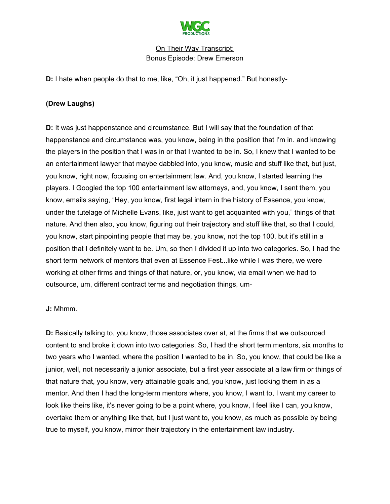

**D:** I hate when people do that to me, like, "Oh, it just happened." But honestly-

## **(Drew Laughs)**

**D:** It was just happenstance and circumstance. But I will say that the foundation of that happenstance and circumstance was, you know, being in the position that I'm in. and knowing the players in the position that I was in or that I wanted to be in. So, I knew that I wanted to be an entertainment lawyer that maybe dabbled into, you know, music and stuff like that, but just, you know, right now, focusing on entertainment law. And, you know, I started learning the players. I Googled the top 100 entertainment law attorneys, and, you know, I sent them, you know, emails saying, "Hey, you know, first legal intern in the history of Essence, you know, under the tutelage of Michelle Evans, like, just want to get acquainted with you," things of that nature. And then also, you know, figuring out their trajectory and stuff like that, so that I could, you know, start pinpointing people that may be, you know, not the top 100, but it's still in a position that I definitely want to be. Um, so then I divided it up into two categories. So, I had the short term network of mentors that even at Essence Fest...like while I was there, we were working at other firms and things of that nature, or, you know, via email when we had to outsource, um, different contract terms and negotiation things, um-

#### **J:** Mhmm.

**D:** Basically talking to, you know, those associates over at, at the firms that we outsourced content to and broke it down into two categories. So, I had the short term mentors, six months to two years who I wanted, where the position I wanted to be in. So, you know, that could be like a junior, well, not necessarily a junior associate, but a first year associate at a law firm or things of that nature that, you know, very attainable goals and, you know, just locking them in as a mentor. And then I had the long-term mentors where, you know, I want to, I want my career to look like theirs like, it's never going to be a point where, you know, I feel like I can, you know, overtake them or anything like that, but I just want to, you know, as much as possible by being true to myself, you know, mirror their trajectory in the entertainment law industry.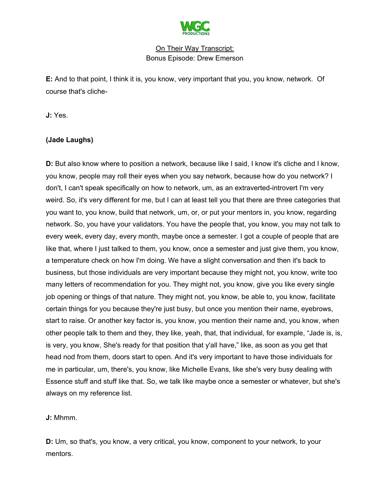

**E:** And to that point, I think it is, you know, very important that you, you know, network. Of course that's cliche-

**J:** Yes.

## **(Jade Laughs)**

**D:** But also know where to position a network, because like I said, I know it's cliche and I know, you know, people may roll their eyes when you say network, because how do you network? I don't, I can't speak specifically on how to network, um, as an extraverted-introvert I'm very weird. So, it's very different for me, but I can at least tell you that there are three categories that you want to, you know, build that network, um, or, or put your mentors in, you know, regarding network. So, you have your validators. You have the people that, you know, you may not talk to every week, every day, every month, maybe once a semester. I got a couple of people that are like that, where I just talked to them, you know, once a semester and just give them, you know, a temperature check on how I'm doing. We have a slight conversation and then it's back to business, but those individuals are very important because they might not, you know, write too many letters of recommendation for you. They might not, you know, give you like every single job opening or things of that nature. They might not, you know, be able to, you know, facilitate certain things for you because they're just busy, but once you mention their name, eyebrows, start to raise. Or another key factor is, you know, you mention their name and, you know, when other people talk to them and they, they like, yeah, that, that individual, for example, "Jade is, is, is very, you know, She's ready for that position that y'all have," like, as soon as you get that head nod from them, doors start to open. And it's very important to have those individuals for me in particular, um, there's, you know, like Michelle Evans, like she's very busy dealing with Essence stuff and stuff like that. So, we talk like maybe once a semester or whatever, but she's always on my reference list.

**J:** Mhmm.

**D:** Um, so that's, you know, a very critical, you know, component to your network, to your mentors.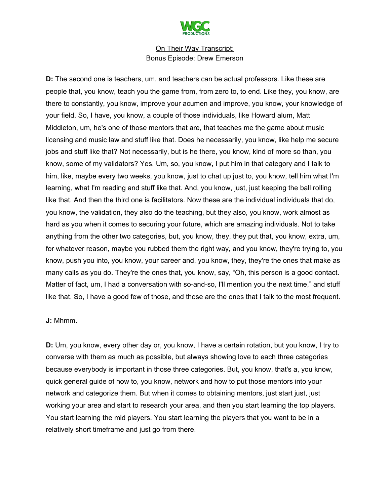

**D:** The second one is teachers, um, and teachers can be actual professors. Like these are people that, you know, teach you the game from, from zero to, to end. Like they, you know, are there to constantly, you know, improve your acumen and improve, you know, your knowledge of your field. So, I have, you know, a couple of those individuals, like Howard alum, Matt Middleton, um, he's one of those mentors that are, that teaches me the game about music licensing and music law and stuff like that. Does he necessarily, you know, like help me secure jobs and stuff like that? Not necessarily, but is he there, you know, kind of more so than, you know, some of my validators? Yes. Um, so, you know, I put him in that category and I talk to him, like, maybe every two weeks, you know, just to chat up just to, you know, tell him what I'm learning, what I'm reading and stuff like that. And, you know, just, just keeping the ball rolling like that. And then the third one is facilitators. Now these are the individual individuals that do, you know, the validation, they also do the teaching, but they also, you know, work almost as hard as you when it comes to securing your future, which are amazing individuals. Not to take anything from the other two categories, but, you know, they, they put that, you know, extra, um, for whatever reason, maybe you rubbed them the right way, and you know, they're trying to, you know, push you into, you know, your career and, you know, they, they're the ones that make as many calls as you do. They're the ones that, you know, say, "Oh, this person is a good contact. Matter of fact, um, I had a conversation with so-and-so, I'll mention you the next time," and stuff like that. So, I have a good few of those, and those are the ones that I talk to the most frequent.

#### **J:** Mhmm.

**D:** Um, you know, every other day or, you know, I have a certain rotation, but you know, I try to converse with them as much as possible, but always showing love to each three categories because everybody is important in those three categories. But, you know, that's a, you know, quick general guide of how to, you know, network and how to put those mentors into your network and categorize them. But when it comes to obtaining mentors, just start just, just working your area and start to research your area, and then you start learning the top players. You start learning the mid players. You start learning the players that you want to be in a relatively short timeframe and just go from there.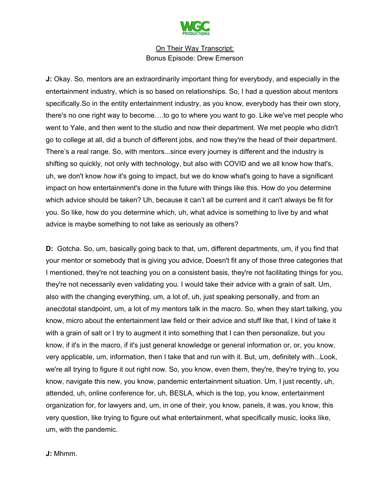

**J:** Okay. So, mentors are an extraordinarily important thing for everybody, and especially in the entertainment industry, which is so based on relationships. So, I had a question about mentors specifically.So in the entity entertainment industry, as you know, everybody has their own story, there's no one right way to become….to go to where you want to go. Like we've met people who went to Yale, and then went to the studio and now their department. We met people who didn't go to college at all, did a bunch of different jobs, and now they're the head of their department. There's a real range. So, with mentors...since every journey is different and the industry is shifting so quickly, not only with technology, but also with COVID and we all know how that's, uh, we don't know *how* it's going to impact, but we do know what's going to have a significant impact on how entertainment's done in the future with things like this. How do you determine which advice should be taken? Uh, because it can't all be current and it can't always be fit for you. So like, how do you determine which, uh, what advice is something to live by and what advice is maybe something to not take as seriously as others?

**D:** Gotcha. So, um, basically going back to that, um, different departments, um, if you find that your mentor or somebody that is giving you advice, Doesn't fit any of those three categories that I mentioned, they're not teaching you on a consistent basis, they're not facilitating things for you, they're not necessarily even validating you. I would take their advice with a grain of salt. Um, also with the changing everything, um, a lot of, uh, just speaking personally, and from an anecdotal standpoint, um, a lot of my mentors talk in the macro. So, when they start talking, you know, micro about the entertainment law field or their advice and stuff like that, I kind of take it with a grain of salt or I try to augment it into something that I can then personalize, but you know, if it's in the macro, if it's just general knowledge or general information or, or, you know, very applicable, um, information, then I take that and run with it. But, um, definitely with...Look, we're all trying to figure it out right now. So, you know, even them, they're, they're trying to, you know, navigate this new, you know, pandemic entertainment situation. Um, I just recently, uh, attended, uh, online conference for, uh, BESLA, which is the top, you know, entertainment organization for, for lawyers and, um, in one of their, you know, panels, it was, you know, this very question, like trying to figure out what entertainment, what specifically music, looks like, um, with the pandemic.

**J:** Mhmm.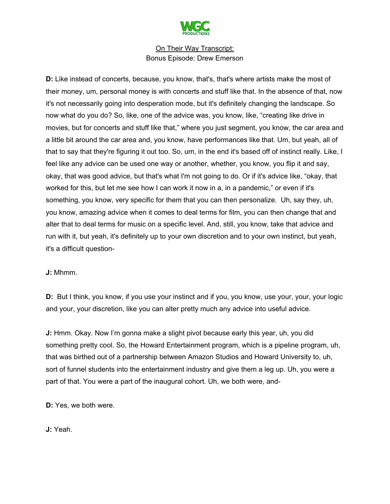

**D:** Like instead of concerts, because, you know, that's, that's where artists make the most of their money, um, personal money is with concerts and stuff like that. In the absence of that, now it's not necessarily going into desperation mode, but it's definitely changing the landscape. So now what do you do? So, like, one of the advice was, you know, like, "creating like drive in movies, but for concerts and stuff like that," where you just segment, you know, the car area and a little bit around the car area and, you know, have performances like that. Um, but yeah, all of that to say that they're figuring it out too. So, um, in the end it's based off of instinct really. Like, I feel like any advice can be used one way or another, whether, you know, you flip it and say, okay, that was good advice, but that's what I'm not going to do. Or if it's advice like, "okay, that worked for this, but let me see how I can work it now in a, in a pandemic," or even if it's something, you know, very specific for them that you can then personalize. Uh, say they, uh, you know, amazing advice when it comes to deal terms for film, you can then change that and alter that to deal terms for music on a specific level. And, still, you know, take that advice and run with it, but yeah, it's definitely up to your own discretion and to your own instinct, but yeah, it's a difficult question-

#### **J:** Mhmm.

**D:** But I think, you know, if you use your instinct and if you, you know, use your, your, your logic and your, your discretion, like you can alter pretty much any advice into useful advice.

**J:** Hmm. Okay. Now I'm gonna make a slight pivot because early this year, uh, you did something pretty cool. So, the Howard Entertainment program, which is a pipeline program, uh, that was birthed out of a partnership between Amazon Studios and Howard University to, uh, sort of funnel students into the entertainment industry and give them a leg up. Uh, you were a part of that. You were a part of the inaugural cohort. Uh, we both were, and-

**D:** Yes, we both were.

**J:** Yeah.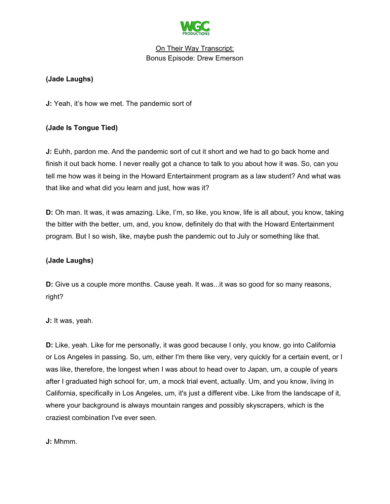

# **(Jade Laughs)**

**J:** Yeah, it's how we met. The pandemic sort of

# **(Jade Is Tongue Tied)**

**J:** Euhh, pardon me. And the pandemic sort of cut it short and we had to go back home and finish it out back home. I never really got a chance to talk to you about how it was. So, can you tell me how was it being in the Howard Entertainment program as a law student? And what was that like and what did you learn and just, how was it?

**D:** Oh man. It was, it was amazing. Like, I'm, so like, you know, life is all about, you know, taking the bitter with the better, um, and, you know, definitely do that with the Howard Entertainment program. But I so wish, like, maybe push the pandemic out to July or something like that.

# **(Jade Laughs)**

**D:** Give us a couple more months. Cause yeah. It was...it was so good for so many reasons, right?

**J:** It was, yeah.

**D:** Like, yeah. Like for me personally, it was good because I only, you know, go into California or Los Angeles in passing. So, um, either I'm there like very, very quickly for a certain event, or I was like, therefore, the longest when I was about to head over to Japan, um, a couple of years after I graduated high school for, um, a mock trial event, actually. Um, and you know, living in California, specifically in Los Angeles, um, it's just a different vibe. Like from the landscape of it, where your background is always mountain ranges and possibly skyscrapers, which is the craziest combination I've ever seen.

**J:** Mhmm.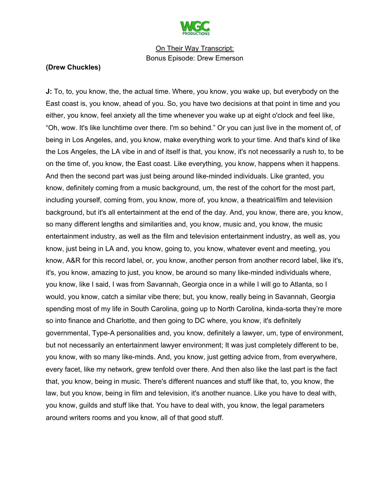

#### **(Drew Chuckles)**

**J:** To, to, you know, the, the actual time. Where, you know, you wake up, but everybody on the East coast is, you know, ahead of you. So, you have two decisions at that point in time and you either, you know, feel anxiety all the time whenever you wake up at eight o'clock and feel like, "Oh, wow. It's like lunchtime over there. I'm so behind." Or you can just live in the moment of, of being in Los Angeles, and, you know, make everything work to your time. And that's kind of like the Los Angeles, the LA vibe in and of itself is that, you know, it's not necessarily a rush to, to be on the time of, you know, the East coast. Like everything, you know, happens when it happens. And then the second part was just being around like-minded individuals. Like granted, you know, definitely coming from a music background, um, the rest of the cohort for the most part, including yourself, coming from, you know, more of, you know, a theatrical/film and television background, but it's all entertainment at the end of the day. And, you know, there are, you know, so many different lengths and similarities and, you know, music and, you know, the music entertainment industry, as well as the film and television entertainment industry, as well as, you know, just being in LA and, you know, going to, you know, whatever event and meeting, you know, A&R for this record label, or, you know, another person from another record label, like it's, it's, you know, amazing to just, you know, be around so many like-minded individuals where, you know, like I said, I was from Savannah, Georgia once in a while I will go to Atlanta, so I would, you know, catch a similar vibe there; but, you know, really being in Savannah, Georgia spending most of my life in South Carolina, going up to North Carolina, kinda-sorta they're more so into finance and Charlotte, and then going to DC where, you know, it's definitely governmental, Type-A personalities and, you know, definitely a lawyer, um, type of environment, but not necessarily an entertainment lawyer environment; It was just completely different to be, you know, with so many like-minds. And, you know, just getting advice from, from everywhere, every facet, like my network, grew tenfold over there. And then also like the last part is the fact that, you know, being in music. There's different nuances and stuff like that, to, you know, the law, but you know, being in film and television, it's another nuance. Like you have to deal with, you know, guilds and stuff like that. You have to deal with, you know, the legal parameters around writers rooms and you know, all of that good stuff.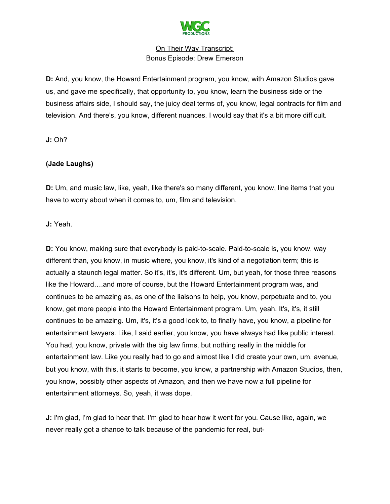

**D:** And, you know, the Howard Entertainment program, you know, with Amazon Studios gave us, and gave me specifically, that opportunity to, you know, learn the business side or the business affairs side, I should say, the juicy deal terms of, you know, legal contracts for film and television. And there's, you know, different nuances. I would say that it's a bit more difficult.

**J:** Oh?

## **(Jade Laughs)**

**D:** Um, and music law, like, yeah, like there's so many different, you know, line items that you have to worry about when it comes to, um, film and television.

**J:** Yeah.

**D:** You know, making sure that everybody is paid-to-scale. Paid-to-scale is, you know, way different than, you know, in music where, you know, it's kind of a negotiation term; this is actually a staunch legal matter. So it's, it's, it's different. Um, but yeah, for those three reasons like the Howard….and more of course, but the Howard Entertainment program was, and continues to be amazing as, as one of the liaisons to help, you know, perpetuate and to, you know, get more people into the Howard Entertainment program. Um, yeah. It's, it's, it still continues to be amazing. Um, it's, it's a good look to, to finally have, you know, a pipeline for entertainment lawyers. Like, I said earlier, you know, you have always had like public interest. You had, you know, private with the big law firms, but nothing really in the middle for entertainment law. Like you really had to go and almost like I did create your own, um, avenue, but you know, with this, it starts to become, you know, a partnership with Amazon Studios, then, you know, possibly other aspects of Amazon, and then we have now a full pipeline for entertainment attorneys. So, yeah, it was dope.

**J:** I'm glad, I'm glad to hear that. I'm glad to hear how it went for you. Cause like, again, we never really got a chance to talk because of the pandemic for real, but-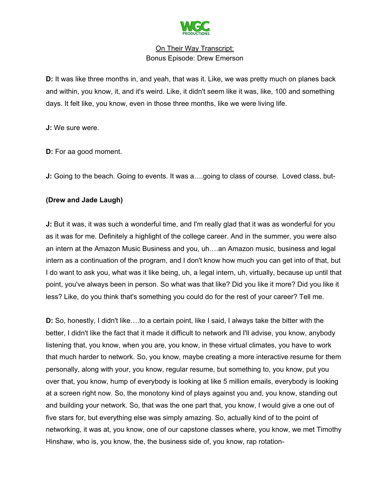

**D:** It was like three months in, and yeah, that was it. Like, we was pretty much on planes back and within, you know, it, and it's weird. Like, it didn't seem like it was, like, 100 and something days. It felt like, you know, even in those three months, like we were living life.

**J:** We sure were.

**D:** For aa good moment.

**J:** Going to the beach. Going to events. It was a...,going to class of course. Loved class, but-

## **(Drew and Jade Laugh)**

**J:** But it was, it was such a wonderful time, and I'm really glad that it was as wonderful for you as it was for me. Definitely a highlight of the college career. And in the summer, you were also an intern at the Amazon Music Business and you, uh….an Amazon music, business and legal intern as a continuation of the program, and I don't know how much you can get into of that, but I do want to ask you, what was it like being, uh, a legal intern, uh, virtually, because up until that point, you've always been in person. So what was that like? Did you like it more? Did you like it less? Like, do you think that's something you could do for the rest of your career? Tell me.

**D:** So, honestly, I didn't like….to a certain point, like I said, I always take the bitter with the better, I didn't like the fact that it made it difficult to network and I'll advise, you know, anybody listening that, you know, when you are, you know, in these virtual climates, you have to work that much harder to network. So, you know, maybe creating a more interactive resume for them personally, along with your, you know, regular resume, but something to, you know, put you over that, you know, hump of everybody is looking at like 5 million emails, everybody is looking at a screen right now. So, the monotony kind of plays against you and, you know, standing out and building your network. So, that was the one part that, you know, I would give a one out of five stars for, but everything else was simply amazing. So, actually kind of to the point of networking, it was at, you know, one of our capstone classes where, you know, we met Timothy Hinshaw, who is, you know, the, the business side of, you know, rap rotation-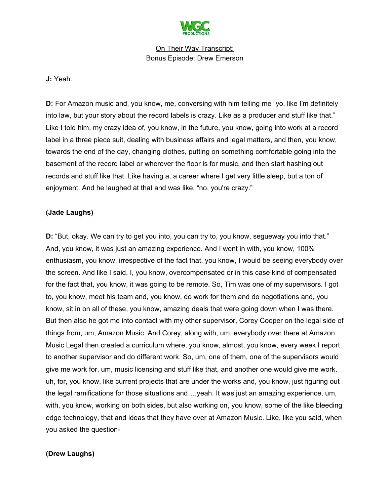

**J:** Yeah.

**D:** For Amazon music and, you know, me, conversing with him telling me "yo, like I'm definitely into law, but your story about the record labels is crazy. Like as a producer and stuff like that." Like I told him, my crazy idea of, you know, in the future, you know, going into work at a record label in a three piece suit, dealing with business affairs and legal matters, and then, you know, towards the end of the day, changing clothes, putting on something comfortable going into the basement of the record label or wherever the floor is for music, and then start hashing out records and stuff like that. Like having a, a career where I get very little sleep, but a ton of enjoyment. And he laughed at that and was like, "no, you're crazy."

## **(Jade Laughs)**

**D:** "But, okay. We can try to get you into, you can try to, you know, segueway you into that." And, you know, it was just an amazing experience. And I went in with, you know, 100% enthusiasm, you know, irrespective of the fact that, you know, I would be seeing everybody over the screen. And like I said, I, you know, overcompensated or in this case kind of compensated for the fact that, you know, it was going to be remote. So, Tim was one of my supervisors. I got to, you know, meet his team and, you know, do work for them and do negotiations and, you know, sit in on all of these, you know, amazing deals that were going down when I was there. But then also he got me into contact with my other supervisor, Corey Cooper on the legal side of things from, um, Amazon Music. And Corey, along with, um, everybody over there at Amazon Music Legal then created a curriculum where, you know, almost, you know, every week I report to another supervisor and do different work. So, um, one of them, one of the supervisors would give me work for, um, music licensing and stuff like that, and another one would give me work, uh, for, you know, like current projects that are under the works and, you know, just figuring out the legal ramifications for those situations and….yeah. It was just an amazing experience, um, with, you know, working on both sides, but also working on, you know, some of the like bleeding edge technology, that and ideas that they have over at Amazon Music. Like, like you said, when you asked the question-

#### **(Drew Laughs)**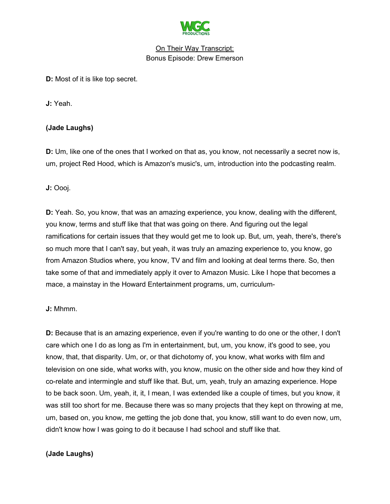

**D:** Most of it is like top secret.

**J:** Yeah.

# **(Jade Laughs)**

**D:** Um, like one of the ones that I worked on that as, you know, not necessarily a secret now is, um, project Red Hood, which is Amazon's music's, um, introduction into the podcasting realm.

**J:** Oooj.

**D:** Yeah. So, you know, that was an amazing experience, you know, dealing with the different, you know, terms and stuff like that that was going on there. And figuring out the legal ramifications for certain issues that they would get me to look up. But, um, yeah, there's, there's so much more that I can't say, but yeah, it was truly an amazing experience to, you know, go from Amazon Studios where, you know, TV and film and looking at deal terms there. So, then take some of that and immediately apply it over to Amazon Music. Like I hope that becomes a mace, a mainstay in the Howard Entertainment programs, um, curriculum-

**J:** Mhmm.

**D:** Because that is an amazing experience, even if you're wanting to do one or the other, I don't care which one I do as long as I'm in entertainment, but, um, you know, it's good to see, you know, that, that disparity. Um, or, or that dichotomy of, you know, what works with film and television on one side, what works with, you know, music on the other side and how they kind of co-relate and intermingle and stuff like that. But, um, yeah, truly an amazing experience. Hope to be back soon. Um, yeah, it, it, I mean, I was extended like a couple of times, but you know, it was still too short for me. Because there was so many projects that they kept on throwing at me, um, based on, you know, me getting the job done that, you know, still want to do even now, um, didn't know how I was going to do it because I had school and stuff like that.

#### **(Jade Laughs)**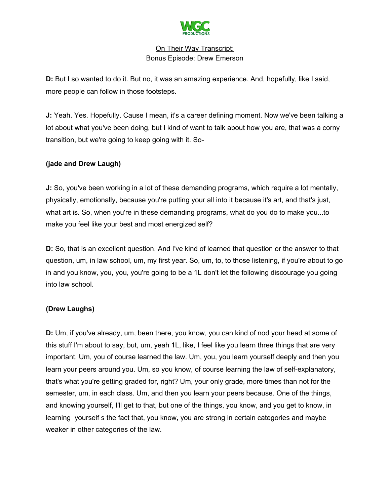

**D:** But I so wanted to do it. But no, it was an amazing experience. And, hopefully, like I said, more people can follow in those footsteps.

**J:** Yeah. Yes. Hopefully. Cause I mean, it's a career defining moment. Now we've been talking a lot about what you've been doing, but I kind of want to talk about how you are, that was a corny transition, but we're going to keep going with it. So-

# **(jade and Drew Laugh)**

**J:** So, you've been working in a lot of these demanding programs, which require a lot mentally, physically, emotionally, because you're putting your all into it because it's art, and that's just, what art is. So, when you're in these demanding programs, what do you do to make you...to make you feel like your best and most energized self?

**D:** So, that is an excellent question. And I've kind of learned that question or the answer to that question, um, in law school, um, my first year. So, um, to, to those listening, if you're about to go in and you know, you, you, you're going to be a 1L don't let the following discourage you going into law school.

# **(Drew Laughs)**

**D:** Um, if you've already, um, been there, you know, you can kind of nod your head at some of this stuff I'm about to say, but, um, yeah 1L, like, I feel like you learn three things that are very important. Um, you of course learned the law. Um, you, you learn yourself deeply and then you learn your peers around you. Um, so you know, of course learning the law of self-explanatory, that's what you're getting graded for, right? Um, your only grade, more times than not for the semester, um, in each class. Um, and then you learn your peers because. One of the things, and knowing yourself, I'll get to that, but one of the things, you know, and you get to know, in learning yourself s the fact that, you know, you are strong in certain categories and maybe weaker in other categories of the law.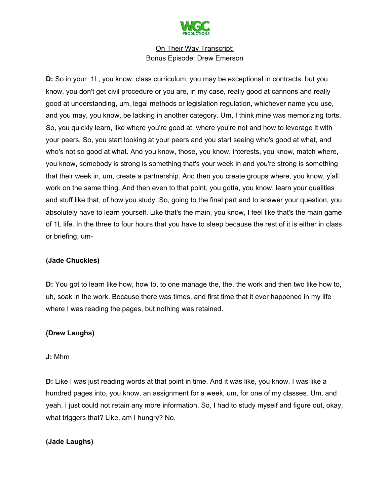

**D:** So in your 1L, you know, class curriculum, you may be exceptional in contracts, but you know, you don't get civil procedure or you are, in my case, really good at cannons and really good at understanding, um, legal methods or legislation regulation, whichever name you use, and you may, you know, be lacking in another category. Um, I think mine was memorizing torts. So, you quickly learn, like where you're good at, where you're not and how to leverage it with your peers. So, you start looking at your peers and you start seeing who's good at what, and who's not so good at what. And you know, those, you know, interests, you know, match where, you know, somebody is strong is something that's your week in and you're strong is something that their week in, um, create a partnership. And then you create groups where, you know, y'all work on the same thing. And then even to that point, you gotta, you know, learn your qualities and stuff like that, of how you study. So, going to the final part and to answer your question, you absolutely have to learn yourself. Like that's the main, you know, I feel like that's the main game of 1L life. In the three to four hours that you have to sleep because the rest of it is either in class or briefing, um-

#### **(Jade Chuckles)**

**D:** You got to learn like how, how to, to one manage the, the, the work and then two like how to, uh, soak in the work. Because there was times, and first time that it ever happened in my life where I was reading the pages, but nothing was retained.

# **(Drew Laughs)**

#### **J:** Mhm

**D:** Like I was just reading words at that point in time. And it was like, you know, I was like a hundred pages into, you know, an assignment for a week, um, for one of my classes. Um, and yeah, I just could not retain any more information. So, I had to study myself and figure out, okay, what triggers that? Like, am I hungry? No.

#### **(Jade Laughs)**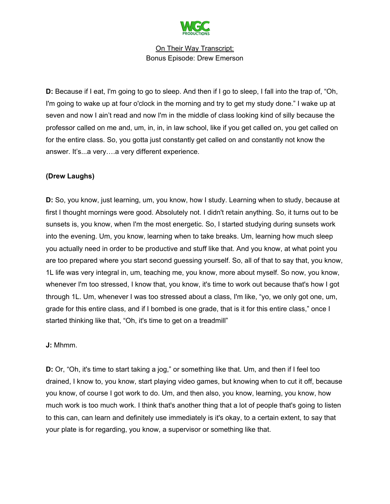

**D:** Because if I eat, I'm going to go to sleep. And then if I go to sleep, I fall into the trap of, "Oh, I'm going to wake up at four o'clock in the morning and try to get my study done." I wake up at seven and now I ain't read and now I'm in the middle of class looking kind of silly because the professor called on me and, um, in, in, in law school, like if you get called on, you get called on for the entire class. So, you gotta just constantly get called on and constantly not know the answer. It's...a very….a very different experience.

## **(Drew Laughs)**

**D:** So, you know, just learning, um, you know, how I study. Learning when to study, because at first I thought mornings were good. Absolutely not. I didn't retain anything. So, it turns out to be sunsets is, you know, when I'm the most energetic. So, I started studying during sunsets work into the evening. Um, you know, learning when to take breaks. Um, learning how much sleep you actually need in order to be productive and stuff like that. And you know, at what point you are too prepared where you start second guessing yourself. So, all of that to say that, you know, 1L life was very integral in, um, teaching me, you know, more about myself. So now, you know, whenever I'm too stressed, I know that, you know, it's time to work out because that's how I got through 1L. Um, whenever I was too stressed about a class, I'm like, "yo, we only got one, um, grade for this entire class, and if I bombed is one grade, that is it for this entire class," once I started thinking like that, "Oh, it's time to get on a treadmill"

#### **J:** Mhmm.

**D:** Or, "Oh, it's time to start taking a jog," or something like that. Um, and then if I feel too drained, I know to, you know, start playing video games, but knowing when to cut it off, because you know, of course I got work to do. Um, and then also, you know, learning, you know, how much work is too much work. I think that's another thing that a lot of people that's going to listen to this can, can learn and definitely use immediately is it's okay, to a certain extent, to say that your plate is for regarding, you know, a supervisor or something like that.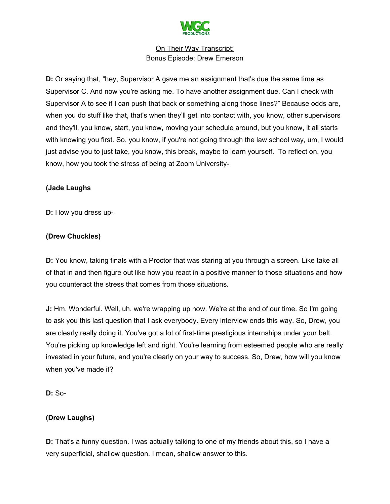

**D:** Or saying that, "hey, Supervisor A gave me an assignment that's due the same time as Supervisor C. And now you're asking me. To have another assignment due. Can I check with Supervisor A to see if I can push that back or something along those lines?" Because odds are, when you do stuff like that, that's when they'll get into contact with, you know, other supervisors and they'll, you know, start, you know, moving your schedule around, but you know, it all starts with knowing you first. So, you know, if you're not going through the law school way, um, I would just advise you to just take, you know, this break, maybe to learn yourself. To reflect on, you know, how you took the stress of being at Zoom University-

## **(Jade Laughs**

**D:** How you dress up-

# **(Drew Chuckles)**

**D:** You know, taking finals with a Proctor that was staring at you through a screen. Like take all of that in and then figure out like how you react in a positive manner to those situations and how you counteract the stress that comes from those situations.

**J:** Hm. Wonderful. Well, uh, we're wrapping up now. We're at the end of our time. So I'm going to ask you this last question that I ask everybody. Every interview ends this way. So, Drew, you are clearly really doing it. You've got a lot of first-time prestigious internships under your belt. You're picking up knowledge left and right. You're learning from esteemed people who are really invested in your future, and you're clearly on your way to success. So, Drew, how will you know when you've made it?

**D:** So-

# **(Drew Laughs)**

**D:** That's a funny question. I was actually talking to one of my friends about this, so I have a very superficial, shallow question. I mean, shallow answer to this.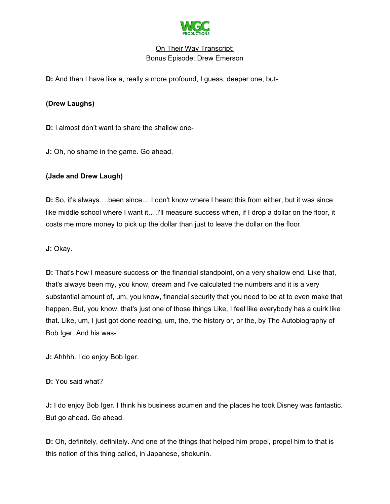

**D:** And then I have like a, really a more profound, I guess, deeper one, but-

## **(Drew Laughs)**

**D:** I almost don't want to share the shallow one-

**J:** Oh, no shame in the game. Go ahead.

## **(Jade and Drew Laugh)**

**D:** So, it's always….been since….I don't know where I heard this from either, but it was since like middle school where I want it….I'll measure success when, if I drop a dollar on the floor, it costs me more money to pick up the dollar than just to leave the dollar on the floor.

**J:** Okay.

**D:** That's how I measure success on the financial standpoint, on a very shallow end. Like that, that's always been my, you know, dream and I've calculated the numbers and it is a very substantial amount of, um, you know, financial security that you need to be at to even make that happen. But, you know, that's just one of those things Like, I feel like everybody has a quirk like that. Like, um, I just got done reading, um, the, the history or, or the, by The Autobiography of Bob Iger. And his was-

**J:** Ahhhh. I do enjoy Bob Iger.

#### **D:** You said what?

**J:** I do enjoy Bob Iger. I think his business acumen and the places he took Disney was fantastic. But go ahead. Go ahead.

**D:** Oh, definitely, definitely. And one of the things that helped him propel, propel him to that is this notion of this thing called, in Japanese, shokunin.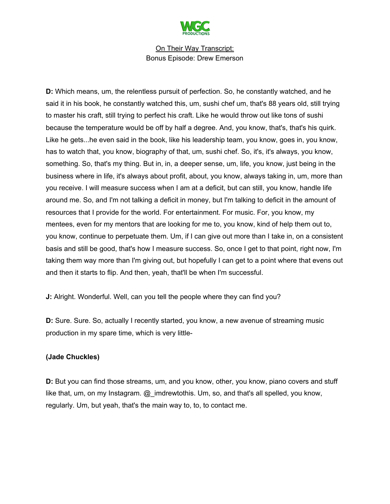

**D:** Which means, um, the relentless pursuit of perfection. So, he constantly watched, and he said it in his book, he constantly watched this, um, sushi chef um, that's 88 years old, still trying to master his craft, still trying to perfect his craft. Like he would throw out like tons of sushi because the temperature would be off by half a degree. And, you know, that's, that's his quirk. Like he gets...he even said in the book, like his leadership team, you know, goes in, you know, has to watch that, you know, biography of that, um, sushi chef. So, it's, it's always, you know, something. So, that's my thing. But in, in, a deeper sense, um, life, you know, just being in the business where in life, it's always about profit, about, you know, always taking in, um, more than you receive. I will measure success when I am at a deficit, but can still, you know, handle life around me. So, and I'm not talking a deficit in money, but I'm talking to deficit in the amount of resources that I provide for the world. For entertainment. For music. For, you know, my mentees, even for my mentors that are looking for me to, you know, kind of help them out to, you know, continue to perpetuate them. Um, if I can give out more than I take in, on a consistent basis and still be good, that's how I measure success. So, once I get to that point, right now, I'm taking them way more than I'm giving out, but hopefully I can get to a point where that evens out and then it starts to flip. And then, yeah, that'll be when I'm successful.

**J:** Alright. Wonderful. Well, can you tell the people where they can find you?

**D:** Sure. Sure. So, actually I recently started, you know, a new avenue of streaming music production in my spare time, which is very little-

# **(Jade Chuckles)**

**D:** But you can find those streams, um, and you know, other, you know, piano covers and stuff like that, um, on my Instagram. @\_imdrewtothis. Um, so, and that's all spelled, you know, regularly. Um, but yeah, that's the main way to, to, to contact me.